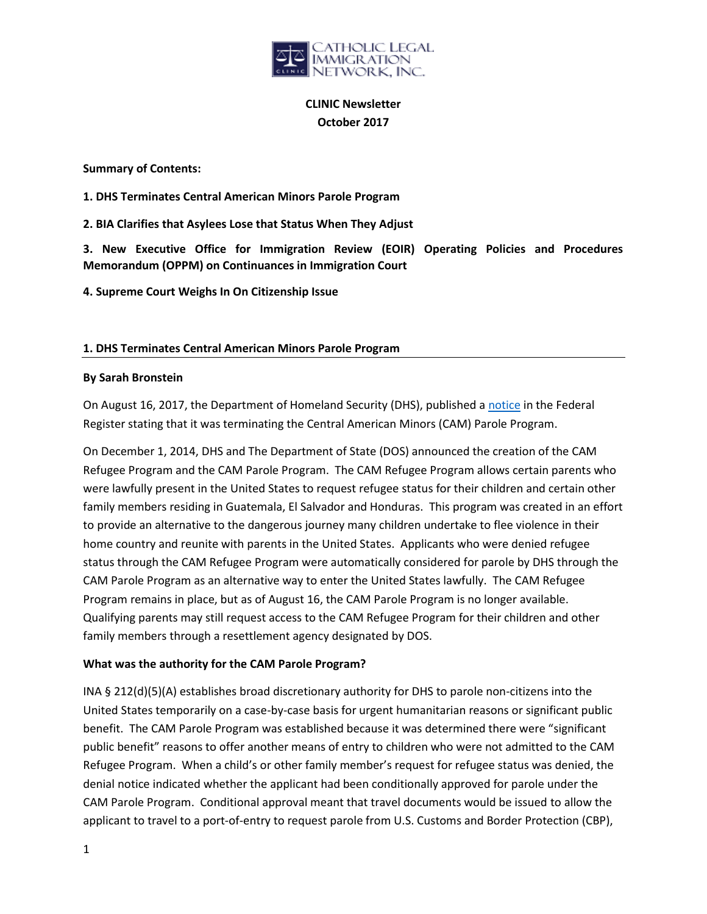

# **CLINIC Newsletter October 2017**

**Summary of Contents:** 

**1. DHS Terminates Central American Minors Parole Program**

**2. BIA Clarifies that Asylees Lose that Status When They Adjust** 

**3. New Executive Office for Immigration Review (EOIR) Operating Policies and Procedures Memorandum (OPPM) on Continuances in Immigration Court**

**4. Supreme Court Weighs In On Citizenship Issue**

### **1. DHS Terminates Central American Minors Parole Program**

### **By Sarah Bronstein**

On August 16, 2017, the Department of Homeland Security (DHS), published a [notice](https://www.federalregister.gov/documents/2017/08/16/2017-16828/termination-of-the-central-american-minors-parole-program) in the Federal Register stating that it was terminating the Central American Minors (CAM) Parole Program.

On December 1, 2014, DHS and The Department of State (DOS) announced the creation of the CAM Refugee Program and the CAM Parole Program. The CAM Refugee Program allows certain parents who were lawfully present in the United States to request refugee status for their children and certain other family members residing in Guatemala, El Salvador and Honduras. This program was created in an effort to provide an alternative to the dangerous journey many children undertake to flee violence in their home country and reunite with parents in the United States. Applicants who were denied refugee status through the CAM Refugee Program were automatically considered for parole by DHS through the CAM Parole Program as an alternative way to enter the United States lawfully. The CAM Refugee Program remains in place, but as of August 16, the CAM Parole Program is no longer available. Qualifying parents may still request access to the CAM Refugee Program for their children and other family members through a resettlement agency designated by DOS.

# **What was the authority for the CAM Parole Program?**

INA § 212(d)(5)(A) establishes broad discretionary authority for DHS to parole non-citizens into the United States temporarily on a case-by-case basis for urgent humanitarian reasons or significant public benefit. The CAM Parole Program was established because it was determined there were "significant public benefit" reasons to offer another means of entry to children who were not admitted to the CAM Refugee Program. When a child's or other family member's request for refugee status was denied, the denial notice indicated whether the applicant had been conditionally approved for parole under the CAM Parole Program. Conditional approval meant that travel documents would be issued to allow the applicant to travel to a port-of-entry to request parole from U.S. Customs and Border Protection (CBP),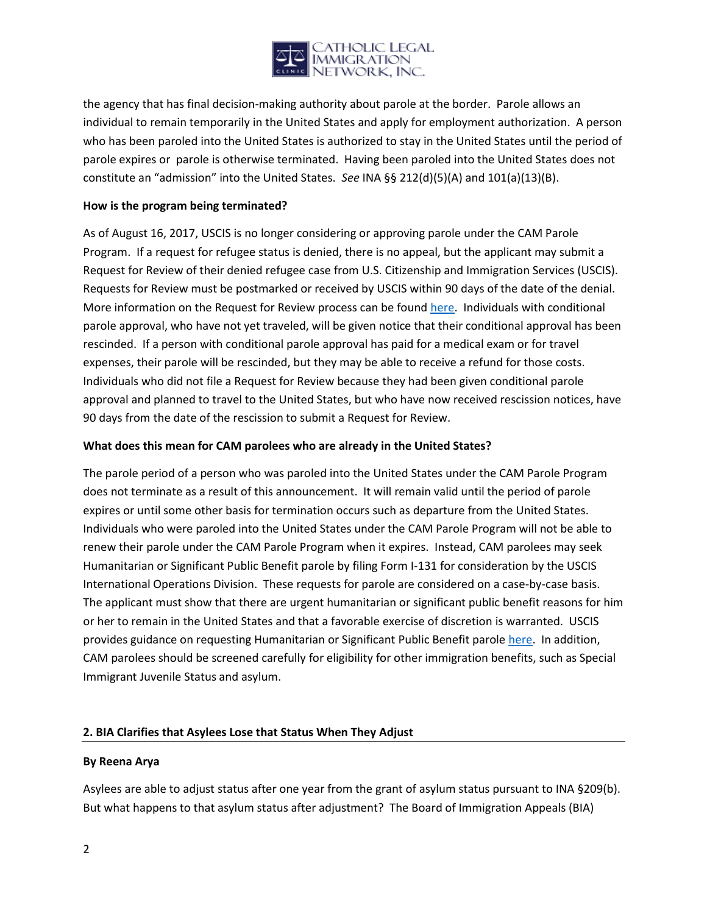

the agency that has final decision-making authority about parole at the border. Parole allows an individual to remain temporarily in the United States and apply for employment authorization. A person who has been paroled into the United States is authorized to stay in the United States until the period of parole expires or parole is otherwise terminated. Having been paroled into the United States does not constitute an "admission" into the United States. *See* INA §§ 212(d)(5)(A) and 101(a)(13)(B).

### **How is the program being terminated?**

As of August 16, 2017, USCIS is no longer considering or approving parole under the CAM Parole Program. If a request for refugee status is denied, there is no appeal, but the applicant may submit a Request for Review of their denied refugee case from U.S. Citizenship and Immigration Services (USCIS). Requests for Review must be postmarked or received by USCIS within 90 days of the date of the denial. More information on the Request for Review process can be found [here.](https://www.uscis.gov/humanitarian/refugees-asylum/refugees/request-review-tip-sheet) Individuals with conditional parole approval, who have not yet traveled, will be given notice that their conditional approval has been rescinded. If a person with conditional parole approval has paid for a medical exam or for travel expenses, their parole will be rescinded, but they may be able to receive a refund for those costs. Individuals who did not file a Request for Review because they had been given conditional parole approval and planned to travel to the United States, but who have now received rescission notices, have 90 days from the date of the rescission to submit a Request for Review.

### **What does this mean for CAM parolees who are already in the United States?**

The parole period of a person who was paroled into the United States under the CAM Parole Program does not terminate as a result of this announcement. It will remain valid until the period of parole expires or until some other basis for termination occurs such as departure from the United States. Individuals who were paroled into the United States under the CAM Parole Program will not be able to renew their parole under the CAM Parole Program when it expires. Instead, CAM parolees may seek Humanitarian or Significant Public Benefit parole by filing Form I-131 for consideration by the USCIS International Operations Division. These requests for parole are considered on a case-by-case basis. The applicant must show that there are urgent humanitarian or significant public benefit reasons for him or her to remain in the United States and that a favorable exercise of discretion is warranted. USCIS provides guidance on requesting Humanitarian or Significant Public Benefit parole [here.](https://www.uscis.gov/humanitarian/humanitarian-or-significant-public-benefit-parole-individuals-outside-united-states) In addition, CAM parolees should be screened carefully for eligibility for other immigration benefits, such as Special Immigrant Juvenile Status and asylum.

# **2. BIA Clarifies that Asylees Lose that Status When They Adjust**

# **By Reena Arya**

Asylees are able to adjust status after one year from the grant of asylum status pursuant to INA §209(b). But what happens to that asylum status after adjustment? The Board of Immigration Appeals (BIA)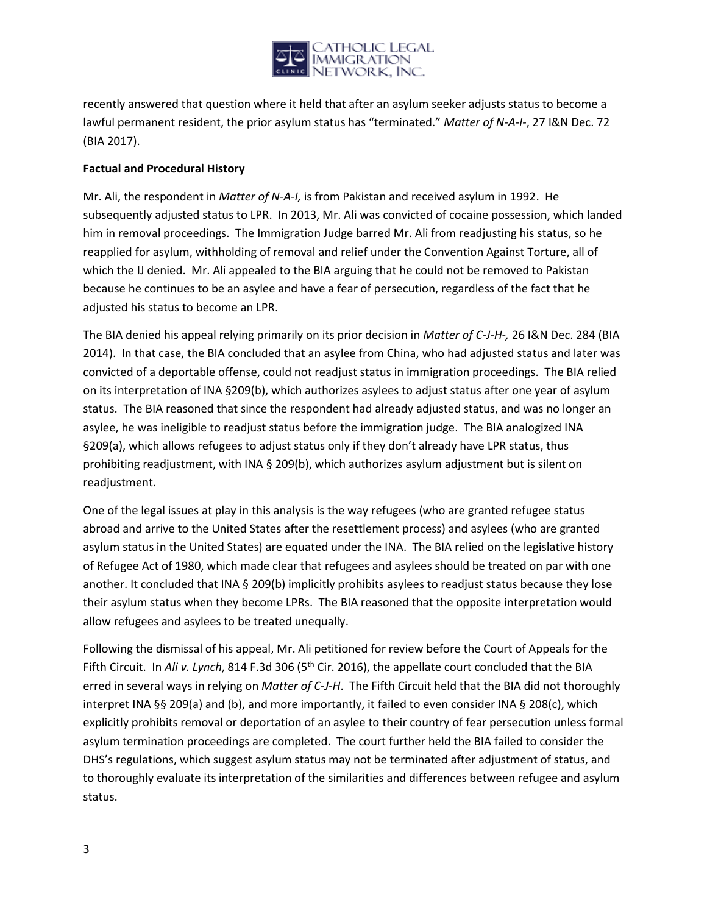

recently answered that question where it held that after an asylum seeker adjusts status to become a lawful permanent resident, the prior asylum status has "terminated." *Matter of N-A-I-*, 27 I&N Dec. 72 (BIA 2017).

# **Factual and Procedural History**

Mr. Ali, the respondent in *Matter of N-A-I,* is from Pakistan and received asylum in 1992. He subsequently adjusted status to LPR. In 2013, Mr. Ali was convicted of cocaine possession, which landed him in removal proceedings. The Immigration Judge barred Mr. Ali from readjusting his status, so he reapplied for asylum, withholding of removal and relief under the Convention Against Torture, all of which the IJ denied. Mr. Ali appealed to the BIA arguing that he could not be removed to Pakistan because he continues to be an asylee and have a fear of persecution, regardless of the fact that he adjusted his status to become an LPR.

The BIA denied his appeal relying primarily on its prior decision in *Matter of C-J-H-,* 26 I&N Dec. 284 (BIA 2014). In that case, the BIA concluded that an asylee from China, who had adjusted status and later was convicted of a deportable offense, could not readjust status in immigration proceedings. The BIA relied on its interpretation of INA §209(b), which authorizes asylees to adjust status after one year of asylum status. The BIA reasoned that since the respondent had already adjusted status, and was no longer an asylee, he was ineligible to readjust status before the immigration judge. The BIA analogized INA §209(a), which allows refugees to adjust status only if they don't already have LPR status, thus prohibiting readjustment, with INA § 209(b), which authorizes asylum adjustment but is silent on readjustment.

One of the legal issues at play in this analysis is the way refugees (who are granted refugee status abroad and arrive to the United States after the resettlement process) and asylees (who are granted asylum status in the United States) are equated under the INA. The BIA relied on the legislative history of Refugee Act of 1980, which made clear that refugees and asylees should be treated on par with one another. It concluded that INA § 209(b) implicitly prohibits asylees to readjust status because they lose their asylum status when they become LPRs. The BIA reasoned that the opposite interpretation would allow refugees and asylees to be treated unequally.

Following the dismissal of his appeal, Mr. Ali petitioned for review before the Court of Appeals for the Fifth Circuit. In *Ali v. Lynch*, 814 F.3d 306 (5<sup>th</sup> Cir. 2016), the appellate court concluded that the BIA erred in several ways in relying on *Matter of C-J-H*. The Fifth Circuit held that the BIA did not thoroughly interpret INA §§ 209(a) and (b), and more importantly, it failed to even consider INA § 208(c), which explicitly prohibits removal or deportation of an asylee to their country of fear persecution unless formal asylum termination proceedings are completed. The court further held the BIA failed to consider the DHS's regulations, which suggest asylum status may not be terminated after adjustment of status, and to thoroughly evaluate its interpretation of the similarities and differences between refugee and asylum status.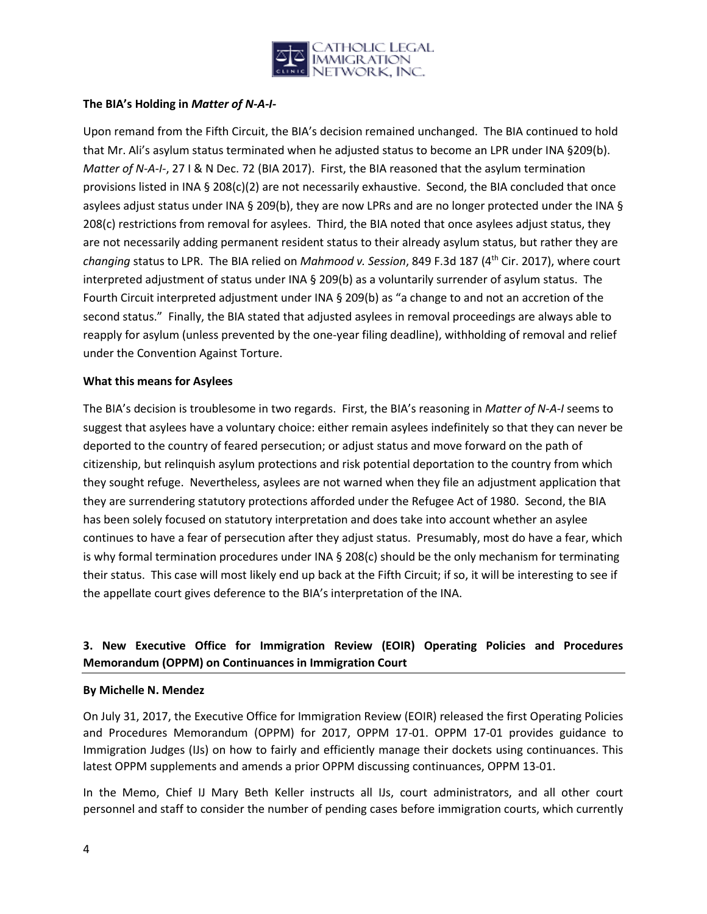

# **The BIA's Holding in** *Matter of N-A-I-*

Upon remand from the Fifth Circuit, the BIA's decision remained unchanged. The BIA continued to hold that Mr. Ali's asylum status terminated when he adjusted status to become an LPR under INA §209(b). *Matter of N-A-I-*, 27 I & N Dec. 72 (BIA 2017).First, the BIA reasoned that the asylum termination provisions listed in INA § 208(c)(2) are not necessarily exhaustive. Second, the BIA concluded that once asylees adjust status under INA § 209(b), they are now LPRs and are no longer protected under the INA § 208(c) restrictions from removal for asylees.Third, the BIA noted that once asylees adjust status, they are not necessarily adding permanent resident status to their already asylum status, but rather they are *changing* status to LPR. The BIA relied on *Mahmood v. Session*, 849 F.3d 187 (4th Cir. 2017), where court interpreted adjustment of status under INA § 209(b) as a voluntarily surrender of asylum status. The Fourth Circuit interpreted adjustment under INA § 209(b) as "a change to and not an accretion of the second status." Finally, the BIA stated that adjusted asylees in removal proceedings are always able to reapply for asylum (unless prevented by the one-year filing deadline), withholding of removal and relief under the Convention Against Torture.

# **What this means for Asylees**

The BIA's decision is troublesome in two regards. First, the BIA's reasoning in *Matter of N-A-I* seems to suggest that asylees have a voluntary choice: either remain asylees indefinitely so that they can never be deported to the country of feared persecution; or adjust status and move forward on the path of citizenship, but relinquish asylum protections and risk potential deportation to the country from which they sought refuge. Nevertheless, asylees are not warned when they file an adjustment application that they are surrendering statutory protections afforded under the Refugee Act of 1980. Second, the BIA has been solely focused on statutory interpretation and does take into account whether an asylee continues to have a fear of persecution after they adjust status. Presumably, most do have a fear, which is why formal termination procedures under INA § 208(c) should be the only mechanism for terminating their status. This case will most likely end up back at the Fifth Circuit; if so, it will be interesting to see if the appellate court gives deference to the BIA's interpretation of the INA.

# **3. New Executive Office for Immigration Review (EOIR) Operating Policies and Procedures Memorandum (OPPM) on Continuances in Immigration Court**

# **By Michelle N. Mendez**

On July 31, 2017, the Executive Office for Immigration Review (EOIR) released the first Operating Policies and Procedures Memorandum (OPPM) for 2017, OPPM 17-01. OPPM 17-01 provides guidance to Immigration Judges (IJs) on how to fairly and efficiently manage their dockets using continuances. This latest OPPM supplements and amends a prior OPPM discussing continuances, OPPM 13-01.

In the Memo, Chief IJ Mary Beth Keller instructs all IJs, court administrators, and all other court personnel and staff to consider the number of pending cases before immigration courts, which currently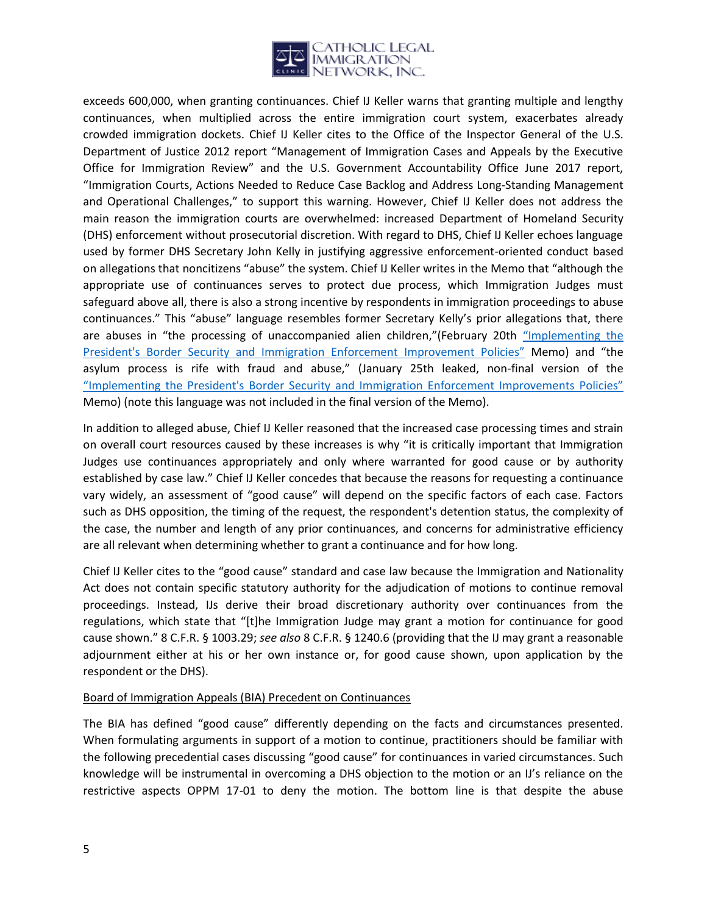

exceeds 600,000, when granting continuances. Chief IJ Keller warns that granting multiple and lengthy continuances, when multiplied across the entire immigration court system, exacerbates already crowded immigration dockets. Chief IJ Keller cites to the Office of the Inspector General of the U.S. Department of Justice 2012 report "Management of Immigration Cases and Appeals by the Executive Office for Immigration Review" and the U.S. Government Accountability Office June 2017 report, "Immigration Courts, Actions Needed to Reduce Case Backlog and Address Long-Standing Management and Operational Challenges," to support this warning. However, Chief IJ Keller does not address the main reason the immigration courts are overwhelmed: increased Department of Homeland Security (DHS) enforcement without prosecutorial discretion. With regard to DHS, Chief IJ Keller echoes language used by former DHS Secretary John Kelly in justifying aggressive enforcement-oriented conduct based on allegations that noncitizens "abuse" the system. Chief IJ Keller writes in the Memo that "although the appropriate use of continuances serves to protect due process, which Immigration Judges must safeguard above all, there is also a strong incentive by respondents in immigration proceedings to abuse continuances." This "abuse" language resembles former Secretary Kelly's prior allegations that, there are abuses in "the processing of unaccompanied alien children,"(February 20th "Implementing the [President's Border Security and Immigration Enforcement Improvement Policies"](https://www.dhs.gov/sites/default/files/publications/17_0220_S1_Implementing-the-Presidents-Border-Security-Immigration-Enforcement-Improvement-Policies.pdf) Memo) and "the asylum process is rife with fraud and abuse," (January 25th leaked, non-final version of the ["Implementing the President's Border Security and Immigration Enforcement Improvements Policies"](https://cdn2.vox-cdn.com/uploads/chorus_asset/file/8001743/Implementing_the_President_s_Border_Security_and_Immigration_Enforcement....0.pdf) Memo) (note this language was not included in the final version of the Memo).

In addition to alleged abuse, Chief IJ Keller reasoned that the increased case processing times and strain on overall court resources caused by these increases is why "it is critically important that Immigration Judges use continuances appropriately and only where warranted for good cause or by authority established by case law." Chief IJ Keller concedes that because the reasons for requesting a continuance vary widely, an assessment of "good cause" will depend on the specific factors of each case. Factors such as DHS opposition, the timing of the request, the respondent's detention status, the complexity of the case, the number and length of any prior continuances, and concerns for administrative efficiency are all relevant when determining whether to grant a continuance and for how long.

Chief IJ Keller cites to the "good cause" standard and case law because the Immigration and Nationality Act does not contain specific statutory authority for the adjudication of motions to continue removal proceedings. Instead, IJs derive their broad discretionary authority over continuances from the regulations, which state that "[t]he Immigration Judge may grant a motion for continuance for good cause shown." 8 C.F.R. § 1003.29; *see also* 8 C.F.R. § 1240.6 (providing that the IJ may grant a reasonable adjournment either at his or her own instance or, for good cause shown, upon application by the respondent or the DHS).

# Board of Immigration Appeals (BIA) Precedent on Continuances

The BIA has defined "good cause" differently depending on the facts and circumstances presented. When formulating arguments in support of a motion to continue, practitioners should be familiar with the following precedential cases discussing "good cause" for continuances in varied circumstances. Such knowledge will be instrumental in overcoming a DHS objection to the motion or an IJ's reliance on the restrictive aspects OPPM 17-01 to deny the motion. The bottom line is that despite the abuse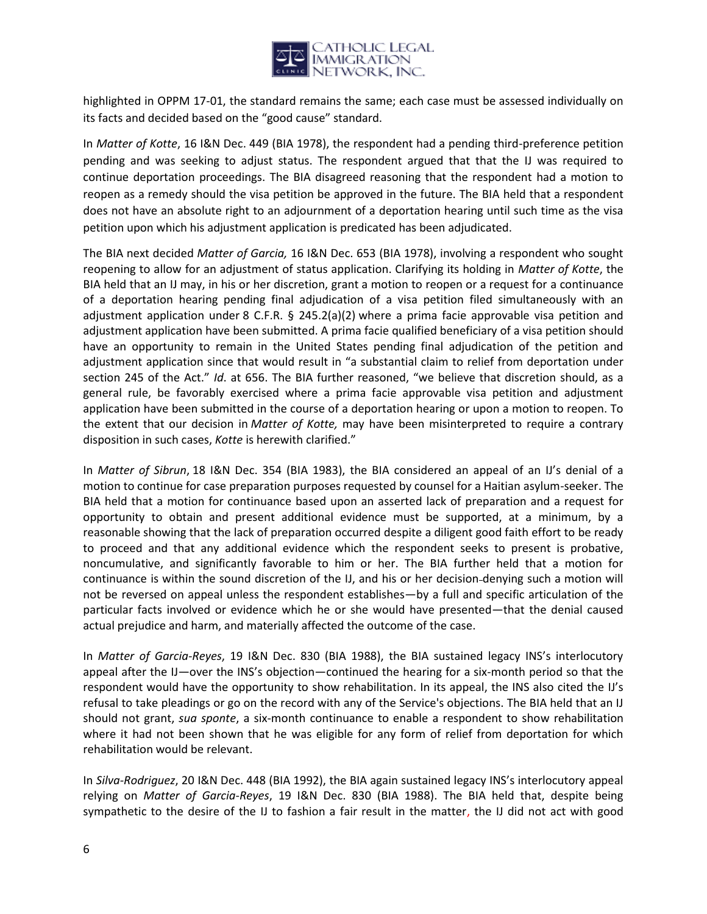

highlighted in OPPM 17-01, the standard remains the same; each case must be assessed individually on its facts and decided based on the "good cause" standard.

In *Matter of Kotte*, 16 I&N Dec. 449 (BIA 1978), the respondent had a pending third-preference petition pending and was seeking to adjust status. The respondent argued that that the IJ was required to continue deportation proceedings. The BIA disagreed reasoning that the respondent had a motion to reopen as a remedy should the visa petition be approved in the future. The BIA held that a respondent does not have an absolute right to an adjournment of a deportation hearing until such time as the visa petition upon which his adjustment application is predicated has been adjudicated.

The BIA next decided *Matter of Garcia,* 16 I&N Dec. 653 (BIA 1978), involving a respondent who sought reopening to allow for an adjustment of status application. Clarifying its holding in *Matter of Kotte*, the BIA held that an IJ may, in his or her discretion, grant a motion to reopen or a request for a continuance of a deportation hearing pending final adjudication of a visa petition filed simultaneously with an adjustment application under 8 C.F.R. § 245.2(a)(2) where a prima facie approvable visa petition and adjustment application have been submitted. A prima facie qualified beneficiary of a visa petition should have an opportunity to remain in the United States pending final adjudication of the petition and adjustment application since that would result in "a substantial claim to relief from deportation under section 245 of the Act." *Id*. at 656. The BIA further reasoned, "we believe that discretion should, as a general rule, be favorably exercised where a prima facie approvable visa petition and adjustment application have been submitted in the course of a deportation hearing or upon a motion to reopen. To the extent that our decision in *Matter of Kotte,* may have been misinterpreted to require a contrary disposition in such cases, *Kotte* is herewith clarified."

In *Matter of Sibrun*, 18 I&N Dec. 354 (BIA 1983), the BIA considered an appeal of an IJ's denial of a motion to continue for case preparation purposes requested by counsel for a Haitian asylum-seeker. The BIA held that a motion for continuance based upon an asserted lack of preparation and a request for opportunity to obtain and present additional evidence must be supported, at a minimum, by a reasonable showing that the lack of preparation occurred despite a diligent good faith effort to be ready to proceed and that any additional evidence which the respondent seeks to present is probative, noncumulative, and significantly favorable to him or her. The BIA further held that a motion for continuance is within the sound discretion of the IJ, and his or her decision denying such a motion will not be reversed on appeal unless the respondent establishes—by a full and specific articulation of the particular facts involved or evidence which he or she would have presented—that the denial caused actual prejudice and harm, and materially affected the outcome of the case.

In *Matter of Garcia-Reyes*, 19 I&N Dec. 830 (BIA 1988), the BIA sustained legacy INS's interlocutory appeal after the IJ—over the INS's objection—continued the hearing for a six-month period so that the respondent would have the opportunity to show rehabilitation. In its appeal, the INS also cited the IJ's refusal to take pleadings or go on the record with any of the Service's objections. The BIA held that an IJ should not grant, *sua sponte*, a six-month continuance to enable a respondent to show rehabilitation where it had not been shown that he was eligible for any form of relief from deportation for which rehabilitation would be relevant.

In *Silva-Rodriguez*, 20 I&N Dec. 448 (BIA 1992), the BIA again sustained legacy INS's interlocutory appeal relying on *Matter of Garcia-Reyes*, 19 I&N Dec. 830 (BIA 1988). The BIA held that, despite being sympathetic to the desire of the IJ to fashion a fair result in the matter, the IJ did not act with good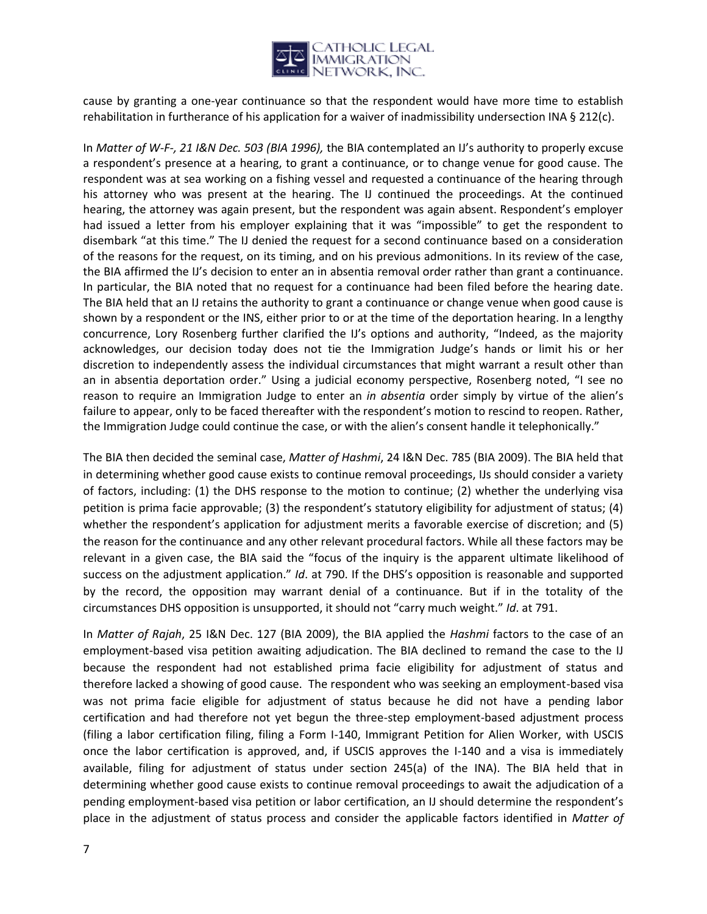

cause by granting a one-year continuance so that the respondent would have more time to establish rehabilitation in furtherance of his application for a waiver of inadmissibility undersection INA § 212(c).

In *Matter of W-F-, 21 I&N Dec. 503 (BIA 1996),* the BIA contemplated an IJ's authority to properly excuse a respondent's presence at a hearing, to grant a continuance, or to change venue for good cause. The respondent was at sea working on a fishing vessel and requested a continuance of the hearing through his attorney who was present at the hearing. The IJ continued the proceedings. At the continued hearing, the attorney was again present, but the respondent was again absent. Respondent's employer had issued a letter from his employer explaining that it was "impossible" to get the respondent to disembark "at this time." The IJ denied the request for a second continuance based on a consideration of the reasons for the request, on its timing, and on his previous admonitions. In its review of the case, the BIA affirmed the IJ's decision to enter an in absentia removal order rather than grant a continuance. In particular, the BIA noted that no request for a continuance had been filed before the hearing date. The BIA held that an IJ retains the authority to grant a continuance or change venue when good cause is shown by a respondent or the INS, either prior to or at the time of the deportation hearing. In a lengthy concurrence, Lory Rosenberg further clarified the IJ's options and authority, "Indeed, as the majority acknowledges, our decision today does not tie the Immigration Judge's hands or limit his or her discretion to independently assess the individual circumstances that might warrant a result other than an in absentia deportation order." Using a judicial economy perspective, Rosenberg noted, "I see no reason to require an Immigration Judge to enter an *in absentia* order simply by virtue of the alien's failure to appear, only to be faced thereafter with the respondent's motion to rescind to reopen. Rather, the Immigration Judge could continue the case, or with the alien's consent handle it telephonically."

The BIA then decided the seminal case, *Matter of Hashmi*, 24 I&N Dec. 785 (BIA 2009). The BIA held that in determining whether good cause exists to continue removal proceedings, IJs should consider a variety of factors, including: (1) the DHS response to the motion to continue; (2) whether the underlying visa petition is prima facie approvable; (3) the respondent's statutory eligibility for adjustment of status; (4) whether the respondent's application for adjustment merits a favorable exercise of discretion; and (5) the reason for the continuance and any other relevant procedural factors. While all these factors may be relevant in a given case, the BIA said the "focus of the inquiry is the apparent ultimate likelihood of success on the adjustment application." *Id*. at 790. If the DHS's opposition is reasonable and supported by the record, the opposition may warrant denial of a continuance. But if in the totality of the circumstances DHS opposition is unsupported, it should not "carry much weight." *Id*. at 791.

In *Matter of Rajah*, 25 I&N Dec. 127 (BIA 2009), the BIA applied the *Hashmi* factors to the case of an employment-based visa petition awaiting adjudication. The BIA declined to remand the case to the IJ because the respondent had not established prima facie eligibility for adjustment of status and therefore lacked a showing of good cause. The respondent who was seeking an employment-based visa was not prima facie eligible for adjustment of status because he did not have a pending labor certification and had therefore not yet begun the three-step employment-based adjustment process (filing a labor certification filing, filing a Form I-140, Immigrant Petition for Alien Worker, with USCIS once the labor certification is approved, and, if USCIS approves the I-140 and a visa is immediately available, filing for adjustment of status under section 245(a) of the INA). The BIA held that in determining whether good cause exists to continue removal proceedings to await the adjudication of a pending employment-based visa petition or labor certification, an IJ should determine the respondent's place in the adjustment of status process and consider the applicable factors identified in *Matter of*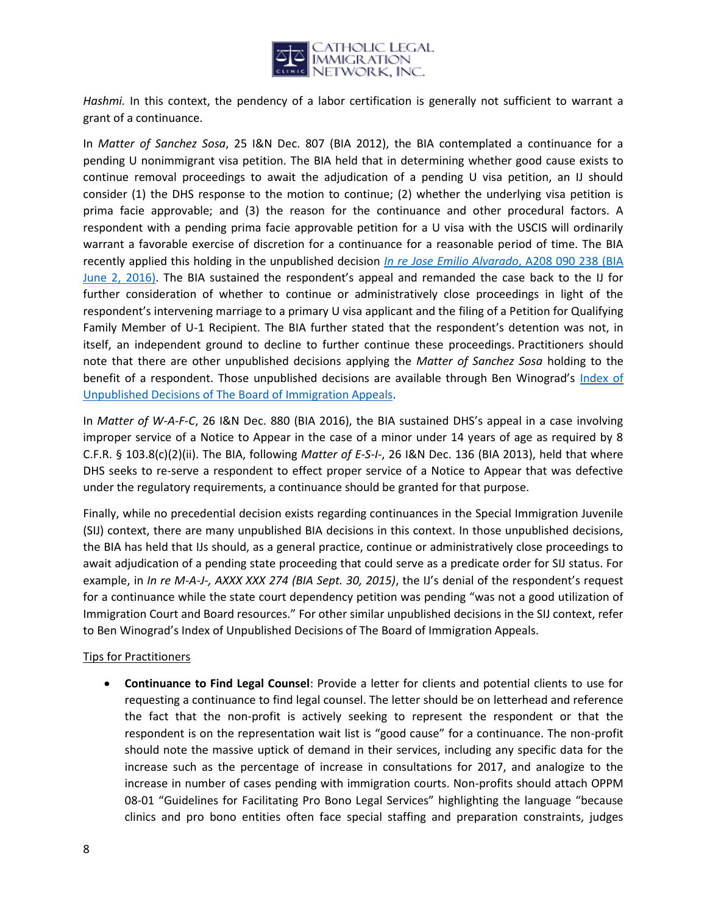

*Hashmi.* In this context, the pendency of a labor certification is generally not sufficient to warrant a grant of a continuance.

In *Matter of Sanchez Sosa*, 25 I&N Dec. 807 (BIA 2012), the BIA contemplated a continuance for a pending U nonimmigrant visa petition. The BIA held that in determining whether good cause exists to continue removal proceedings to await the adjudication of a pending U visa petition, an IJ should consider (1) the DHS response to the motion to continue; (2) whether the underlying visa petition is prima facie approvable; and (3) the reason for the continuance and other procedural factors. A respondent with a pending prima facie approvable petition for a U visa with the USCIS will ordinarily warrant a favorable exercise of discretion for a continuance for a reasonable period of time. The BIA recently applied this holding in the unpublished decision *[In re Jose Emilio Alvarado](https://www.scribd.com/document/328162086/Jose-Emilio-Alvarado-A208-090-238-BIA-June-2-2016)*, A208 090 238 (BIA [June 2, 2016\)](https://www.scribd.com/document/328162086/Jose-Emilio-Alvarado-A208-090-238-BIA-June-2-2016). The BIA sustained the respondent's appeal and remanded the case back to the IJ for further consideration of whether to continue or administratively close proceedings in light of the respondent's intervening marriage to a primary U visa applicant and the filing of a Petition for Qualifying Family Member of U-1 Recipient. The BIA further stated that the respondent's detention was not, in itself, an independent ground to decline to further continue these proceedings. Practitioners should note that there are other unpublished decisions applying the *Matter of Sanchez Sosa* holding to the benefit of a respondent. Those unpublished decisions are available through Ben Winograd's Index of [Unpublished Decisions of The Board of Immigration Appeals.](http://www.irac.net/unpublished/index/)

In *Matter of W-A-F-C*, 26 I&N Dec. 880 (BIA 2016), the BIA sustained DHS's appeal in a case involving improper service of a Notice to Appear in the case of a minor under 14 years of age as required by 8 C.F.R. § 103.8(c)(2)(ii). The BIA, following *Matter of E-S-I-*, 26 I&N Dec. 136 (BIA 2013), held that where DHS seeks to re-serve a respondent to effect proper service of a Notice to Appear that was defective under the regulatory requirements, a continuance should be granted for that purpose.

Finally, while no precedential decision exists regarding continuances in the Special Immigration Juvenile (SIJ) context, there are many unpublished BIA decisions in this context. In those unpublished decisions, the BIA has held that IJs should, as a general practice, continue or administratively close proceedings to await adjudication of a pending state proceeding that could serve as a predicate order for SIJ status. For example, in *In re M-A-J-, AXXX XXX 274 (BIA Sept. 30, 2015)*, the IJ's denial of the respondent's request for a continuance while the state court dependency petition was pending "was not a good utilization of Immigration Court and Board resources." For other similar unpublished decisions in the SIJ context, refer to Ben Winograd's Index of Unpublished Decisions of The Board of Immigration Appeals.

# Tips for Practitioners

 **Continuance to Find Legal Counsel**: Provide a letter for clients and potential clients to use for requesting a continuance to find legal counsel. The letter should be on letterhead and reference the fact that the non-profit is actively seeking to represent the respondent or that the respondent is on the representation wait list is "good cause" for a continuance. The non-profit should note the massive uptick of demand in their services, including any specific data for the increase such as the percentage of increase in consultations for 2017, and analogize to the increase in number of cases pending with immigration courts. Non-profits should attach OPPM 08-01 "Guidelines for Facilitating Pro Bono Legal Services" highlighting the language "because clinics and pro bono entities often face special staffing and preparation constraints, judges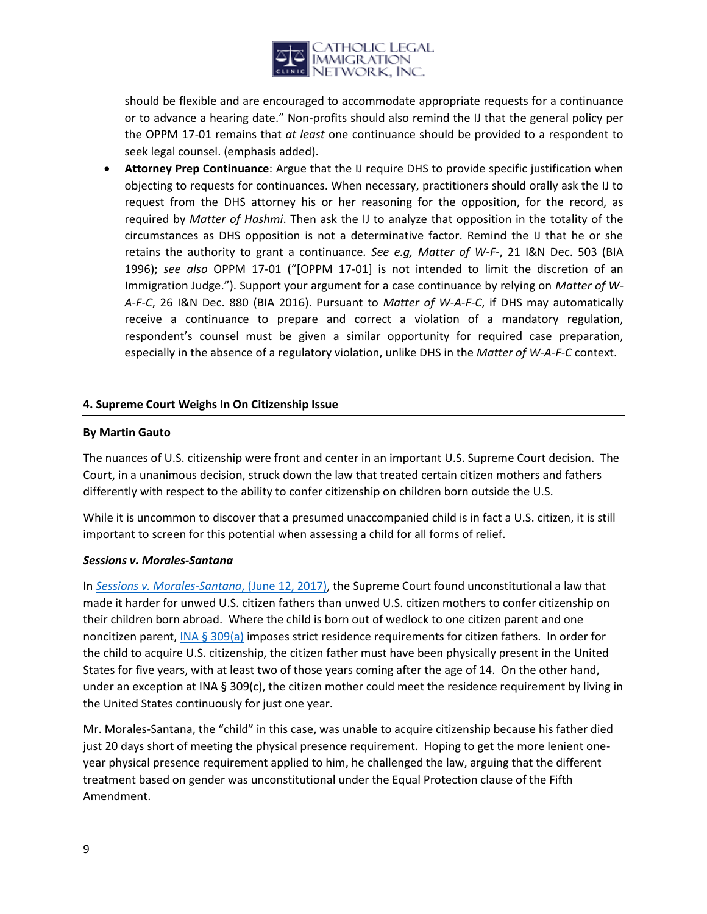

should be flexible and are encouraged to accommodate appropriate requests for a continuance or to advance a hearing date." Non-profits should also remind the IJ that the general policy per the OPPM 17-01 remains that *at least* one continuance should be provided to a respondent to seek legal counsel. (emphasis added).

 **Attorney Prep Continuance**: Argue that the IJ require DHS to provide specific justification when objecting to requests for continuances. When necessary, practitioners should orally ask the IJ to request from the DHS attorney his or her reasoning for the opposition, for the record, as required by *Matter of Hashmi*. Then ask the IJ to analyze that opposition in the totality of the circumstances as DHS opposition is not a determinative factor. Remind the IJ that he or she retains the authority to grant a continuance*. See e.g, Matter of W-F-*, 21 I&N Dec. 503 (BIA 1996); *see also* OPPM 17-01 ("[OPPM 17-01] is not intended to limit the discretion of an Immigration Judge."). Support your argument for a case continuance by relying on *Matter of W-A-F-C*, 26 I&N Dec. 880 (BIA 2016). Pursuant to *Matter of W-A-F-C*, if DHS may automatically receive a continuance to prepare and correct a violation of a mandatory regulation, respondent's counsel must be given a similar opportunity for required case preparation, especially in the absence of a regulatory violation, unlike DHS in the *Matter of W-A-F-C* context.

# **4. Supreme Court Weighs In On Citizenship Issue**

### **By Martin Gauto**

The nuances of U.S. citizenship were front and center in an important U.S. Supreme Court decision. The Court, in a unanimous decision, struck down the law that treated certain citizen mothers and fathers differently with respect to the ability to confer citizenship on children born outside the U.S.

While it is uncommon to discover that a presumed unaccompanied child is in fact a U.S. citizen, it is still important to screen for this potential when assessing a child for all forms of relief.

#### *Sessions v. Morales-Santana*

In *[Sessions v. Morales-Santana](https://www.supremecourt.gov/opinions/16pdf/15-1191_2a34.pdf)*, (June 12, 2017), the Supreme Court found unconstitutional a law that made it harder for unwed U.S. citizen fathers than unwed U.S. citizen mothers to confer citizenship on their children born abroad. Where the child is born out of wedlock to one citizen parent and one noncitizen parent, [INA § 309\(a\)](https://www.uscis.gov/ilink/docView/SLB/HTML/SLB/0-0-0-1/0-0-0-29/0-0-0-9774.html) imposes strict residence requirements for citizen fathers. In order for the child to acquire U.S. citizenship, the citizen father must have been physically present in the United States for five years, with at least two of those years coming after the age of 14. On the other hand, under an exception at INA § 309(c), the citizen mother could meet the residence requirement by living in the United States continuously for just one year.

Mr. Morales-Santana, the "child" in this case, was unable to acquire citizenship because his father died just 20 days short of meeting the physical presence requirement. Hoping to get the more lenient oneyear physical presence requirement applied to him, he challenged the law, arguing that the different treatment based on gender was unconstitutional under the Equal Protection clause of the Fifth Amendment.